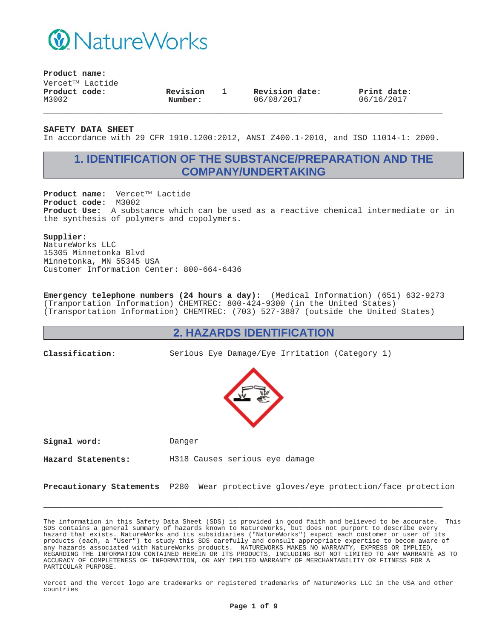

**Product name:**

 $V$ ercet $^{TM}$  Lactide **Product code:** M3002

**Revision Number:**

1 **Revision date:** 06/08/2017

**Print date:** 06/16/2017

**SAFETY DATA SHEET**

In accordance with 29 CFR 1910.1200:2012, ANSI Z400.1-2010, and ISO 11014-1: 2009.

**\_\_\_\_\_\_\_\_\_\_\_\_\_\_\_\_\_\_\_\_\_\_\_\_\_\_\_\_\_\_\_\_\_\_\_\_\_\_\_\_\_\_\_\_\_\_\_\_\_\_\_\_\_\_\_\_\_\_\_**

# **1. IDENTIFICATION OF THE SUBSTANCE/PREPARATION AND THE COMPANY/UNDERTAKING**

Product name: Vercet™ Lactide **Product code:** M3002 **Product Use:** A substance which can be used as a reactive chemical intermediate or in the synthesis of polymers and copolymers.

### **Supplier:**

NatureWorks LLC 15305 Minnetonka Blvd Minnetonka, MN 55345 USA Customer Information Center: 800-664-6436

**Emergency telephone numbers (24 hours a day):** (Medical Information) (651) 632-9273 (Tranportation Information) CHEMTREC: 800-424-9300 (in the United States) (Transportation Information) CHEMTREC: (703) 527-3887 (outside the United States)

### **2. HAZARDS IDENTIFICATION**

**Classification:** Serious Eye Damage/Eye Irritation (Category 1)



**Signal word:** Danger

**Hazard Statements:** H318 Causes serious eye damage

**Precautionary Statements** P280 Wear protective gloves/eye protection/face protection

**\_\_\_\_\_\_\_\_\_\_\_\_\_\_\_\_\_\_\_\_\_\_\_\_\_\_\_\_\_\_\_\_\_\_\_\_\_\_\_\_\_\_\_\_\_\_\_\_\_\_\_\_\_\_\_\_\_\_\_**

The information in this Safety Data Sheet (SDS) is provided in good faith and believed to be accurate. This SDS contains a general summary of hazards known to NatureWorks, but does not purport to describe every hazard that exists. NatureWorks and its subsidiaries ("NatureWorks") expect each customer or user of its products (each, a "User") to study this SDS carefully and consult appropriate expertise to becom aware of any hazards associated with NatureWorks products. NATUREWORKS MAKES NO WARRANTY, EXPRESS OR IMPLIED, REGARDING THE INFORMATION CONTAINED HEREIN OR ITS PRODUCTS, INCLUDING BUT NOT LIMITED TO ANY WARRANTE AS TO ACCURACY OF COMPLETENESS OF INFORMATION, OR ANY IMPLIED WARRANTY OF MERCHANTABILITY OR FITNESS FOR A PARTICULAR PURPOSE.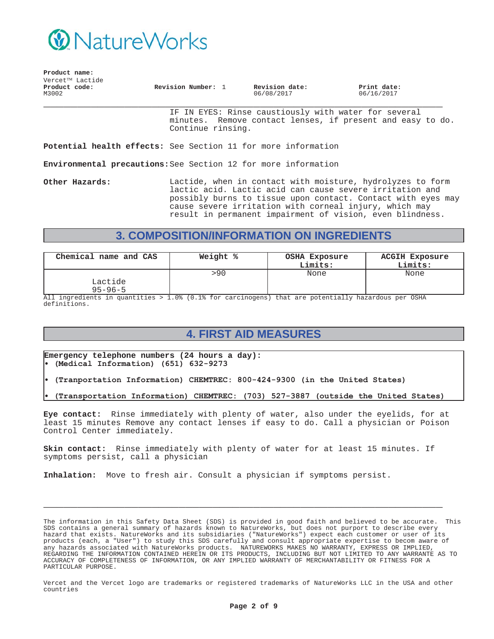

| Product name:          |                              |                    |                              |                           |  |
|------------------------|------------------------------|--------------------|------------------------------|---------------------------|--|
|                        | Vercet <sup>TM</sup> Lactide |                    |                              |                           |  |
| Product code:<br>M3002 |                              | Revision Number: 1 | Revision date:<br>06/08/2017 | Print date:<br>06/16/2017 |  |

IF IN EYES: Rinse caustiously with water for several minutes. Remove contact lenses, if present and easy to do. Continue rinsing.

**Potential health effects:** See Section 11 for more information

**Environmental precautions:**See Section 12 for more information

**Other Hazards:** Lactide, when in contact with moisture, hydrolyzes to form lactic acid. Lactic acid can cause severe irritation and possibly burns to tissue upon contact. Contact with eyes may cause severe irritation with corneal injury, which may result in permanent impairment of vision, even blindness.

# **3. COMPOSITION/INFORMATION ON INGREDIENTS**

| Chemical name and CAS    | Weight % | OSHA Exposure<br>Limits: | <b>ACGIH Exposure</b><br>Limits: |
|--------------------------|----------|--------------------------|----------------------------------|
| Lactide<br>$95 - 96 - 5$ | >90      | None                     | None                             |

All ingredients in quantities > 1.0% (0.1% for carcinogens) that are potentially hazardous per OSHA definitions.

# **4. FIRST AID MEASURES**

**Emergency telephone numbers (24 hours a day):** (Medical Information) (651) 632-9273

- (Tranportation Information) CHEMTREC: 800-424-9300 (in the United States)
- (Transportation Information) CHEMTREC: (703) 527-3887 (outside the United States)

**Eye contact:** Rinse immediately with plenty of water, also under the eyelids, for at least 15 minutes Remove any contact lenses if easy to do. Call a physician or Poison Control Center immediately.

**Skin contact:** Rinse immediately with plenty of water for at least 15 minutes. If symptoms persist, call a physician

**\_\_\_\_\_\_\_\_\_\_\_\_\_\_\_\_\_\_\_\_\_\_\_\_\_\_\_\_\_\_\_\_\_\_\_\_\_\_\_\_\_\_\_\_\_\_\_\_\_\_\_\_\_\_\_\_\_\_\_**

**Inhalation:** Move to fresh air. Consult a physician if symptoms persist.

The information in this Safety Data Sheet (SDS) is provided in good faith and believed to be accurate. This SDS contains a general summary of hazards known to NatureWorks, but does not purport to describe every hazard that exists. NatureWorks and its subsidiaries ("NatureWorks") expect each customer or user of its products (each, a "User") to study this SDS carefully and consult appropriate expertise to becom aware of any hazards associated with NatureWorks products. NATUREWORKS MAKES NO WARRANTY, EXPRESS OR IMPLIED, REGARDING THE INFORMATION CONTAINED HEREIN OR ITS PRODUCTS, INCLUDING BUT NOT LIMITED TO ANY WARRANTE AS TO ACCURACY OF COMPLETENESS OF INFORMATION, OR ANY IMPLIED WARRANTY OF MERCHANTABILITY OR FITNESS FOR A PARTICULAR PURPOSE.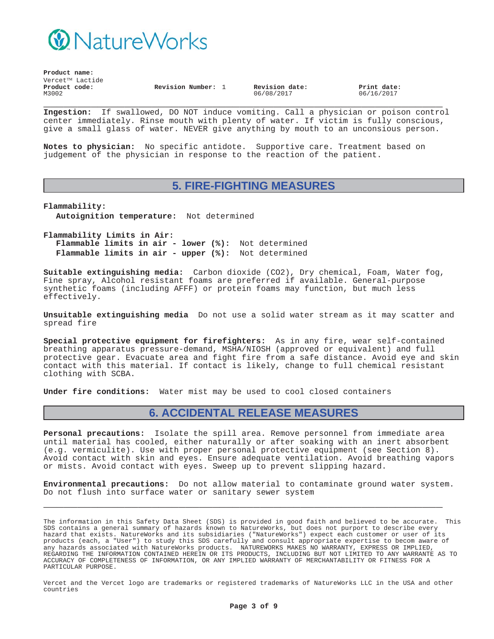

| Product name:          |                              |                    |  |                              |                           |  |
|------------------------|------------------------------|--------------------|--|------------------------------|---------------------------|--|
|                        | Vercet <sup>TM</sup> Lactide |                    |  |                              |                           |  |
| Product code:<br>M3002 |                              | Revision Number: 1 |  | Revision date:<br>06/08/2017 | Print date:<br>06/16/2017 |  |

**\_\_\_\_\_\_\_\_\_\_\_\_\_\_\_\_\_\_\_\_\_\_\_\_\_\_\_\_\_\_\_\_\_\_\_\_\_\_\_\_\_\_\_\_\_\_\_\_\_\_\_\_\_\_\_\_\_\_\_ Ingestion:** If swallowed, DO NOT induce vomiting. Call a physician or poison control center immediately. Rinse mouth with plenty of water. If victim is fully conscious, give a small glass of water. NEVER give anything by mouth to an unconsious person.

**Notes to physician:** No specific antidote. Supportive care. Treatment based on judgement of the physician in response to the reaction of the patient.

### **5. FIRE-FIGHTING MEASURES**

**Flammability: Autoignition temperature:** Not determined

**Flammability Limits in Air: Flammable limits in air - lower (%):** Not determined **Flammable limits in air - upper (%):** Not determined

**Suitable extinguishing media:** Carbon dioxide (CO2), Dry chemical, Foam, Water fog, Fine spray, Alcohol resistant foams are preferred if available. General-purpose synthetic foams (including AFFF) or protein foams may function, but much less effectively.

**Unsuitable extinguishing media** Do not use a solid water stream as it may scatter and spread fire

**Special protective equipment for firefighters:** As in any fire, wear self-contained breathing apparatus pressure-demand, MSHA/NIOSH (approved or equivalent) and full protective gear. Evacuate area and fight fire from a safe distance. Avoid eye and skin contact with this material. If contact is likely, change to full chemical resistant clothing with SCBA.

**Under fire conditions:** Water mist may be used to cool closed containers

## **6. ACCIDENTAL RELEASE MEASURES**

**Personal precautions:** Isolate the spill area. Remove personnel from immediate area until material has cooled, either naturally or after soaking with an inert absorbent (e.g. vermiculite). Use with proper personal protective equipment (see Section 8). Avoid contact with skin and eyes. Ensure adequate ventilation. Avoid breathing vapors or mists. Avoid contact with eyes. Sweep up to prevent slipping hazard.

**Environmental precautions:** Do not allow material to contaminate ground water system. Do not flush into surface water or sanitary sewer system

**\_\_\_\_\_\_\_\_\_\_\_\_\_\_\_\_\_\_\_\_\_\_\_\_\_\_\_\_\_\_\_\_\_\_\_\_\_\_\_\_\_\_\_\_\_\_\_\_\_\_\_\_\_\_\_\_\_\_\_**

The information in this Safety Data Sheet (SDS) is provided in good faith and believed to be accurate. This SDS contains a general summary of hazards known to NatureWorks, but does not purport to describe every hazard that exists. NatureWorks and its subsidiaries ("NatureWorks") expect each customer or user of its products (each, a "User") to study this SDS carefully and consult appropriate expertise to becom aware of any hazards associated with NatureWorks products. NATUREWORKS MAKES NO WARRANTY, EXPRESS OR IMPLIED, REGARDING THE INFORMATION CONTAINED HEREIN OR ITS PRODUCTS, INCLUDING BUT NOT LIMITED TO ANY WARRANTE AS TO ACCURACY OF COMPLETENESS OF INFORMATION, OR ANY IMPLIED WARRANTY OF MERCHANTABILITY OR FITNESS FOR A PARTICULAR PURPOSE.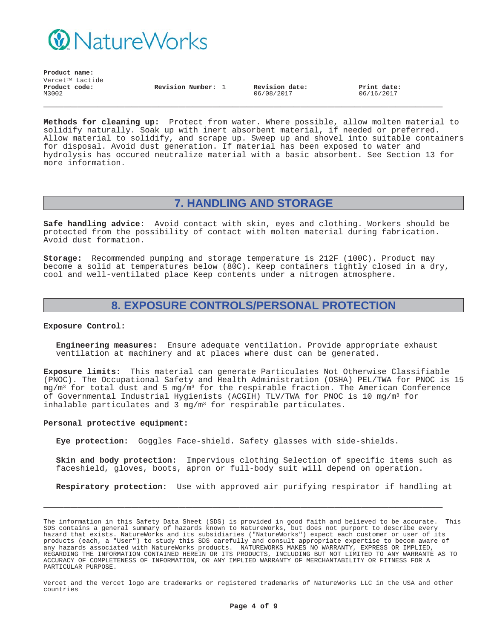

**Product name:**  $V$ ercet<sup>TM</sup> Lactide **Product code:** M3002

**Revision Number:** 1 **Revision date:** 06/08/2017

**Print date:** 06/16/2017

**Methods for cleaning up:** Protect from water. Where possible, allow molten material to solidify naturally. Soak up with inert absorbent material, if needed or preferred. Allow material to solidify, and scrape up. Sweep up and shovel into suitable containers for disposal. Avoid dust generation. If material has been exposed to water and hydrolysis has occured neutralize material with a basic absorbent. See Section 13 for more information.

**\_\_\_\_\_\_\_\_\_\_\_\_\_\_\_\_\_\_\_\_\_\_\_\_\_\_\_\_\_\_\_\_\_\_\_\_\_\_\_\_\_\_\_\_\_\_\_\_\_\_\_\_\_\_\_\_\_\_\_**

# **7. HANDLING AND STORAGE**

**Safe handling advice:** Avoid contact with skin, eyes and clothing. Workers should be protected from the possibility of contact with molten material during fabrication. Avoid dust formation.

**Storage:** Recommended pumping and storage temperature is 212F (100C). Product may become a solid at temperatures below (80C). Keep containers tightly closed in a dry, cool and well-ventilated place Keep contents under a nitrogen atmosphere.

## **8. EXPOSURE CONTROLS/PERSONAL PROTECTION**

#### **Exposure Control:**

**Engineering measures:** Ensure adequate ventilation. Provide appropriate exhaust ventilation at machinery and at places where dust can be generated.

**Exposure limits:** This material can generate Particulates Not Otherwise Classifiable (PNOC). The Occupational Safety and Health Administration (OSHA) PEL/TWA for PNOC is 15  $mg/m<sup>3</sup>$  for total dust and 5 mg/m<sup>3</sup> for the respirable fraction. The American Conference of Governmental Industrial Hygienists (ACGIH) TLV/TWA for PNOC is 10 mg/m3 for inhalable particulates and 3  $mq/m^3$  for respirable particulates.

#### **Personal protective equipment:**

**Eye protection:** Goggles Face-shield. Safety glasses with side-shields.

**Skin and body protection:** Impervious clothing Selection of specific items such as faceshield, gloves, boots, apron or full-body suit will depend on operation.

**Respiratory protection:** Use with approved air purifying respirator if handling at

**\_\_\_\_\_\_\_\_\_\_\_\_\_\_\_\_\_\_\_\_\_\_\_\_\_\_\_\_\_\_\_\_\_\_\_\_\_\_\_\_\_\_\_\_\_\_\_\_\_\_\_\_\_\_\_\_\_\_\_**

The information in this Safety Data Sheet (SDS) is provided in good faith and believed to be accurate. This SDS contains a general summary of hazards known to NatureWorks, but does not purport to describe every hazard that exists. NatureWorks and its subsidiaries ("NatureWorks") expect each customer or user of its products (each, a "User") to study this SDS carefully and consult appropriate expertise to becom aware of any hazards associated with NatureWorks products. NATUREWORKS MAKES NO WARRANTY, EXPRESS OR IMPLIED, REGARDING THE INFORMATION CONTAINED HEREIN OR ITS PRODUCTS, INCLUDING BUT NOT LIMITED TO ANY WARRANTE AS TO ACCURACY OF COMPLETENESS OF INFORMATION, OR ANY IMPLIED WARRANTY OF MERCHANTABILITY OR FITNESS FOR A PARTICULAR PURPOSE.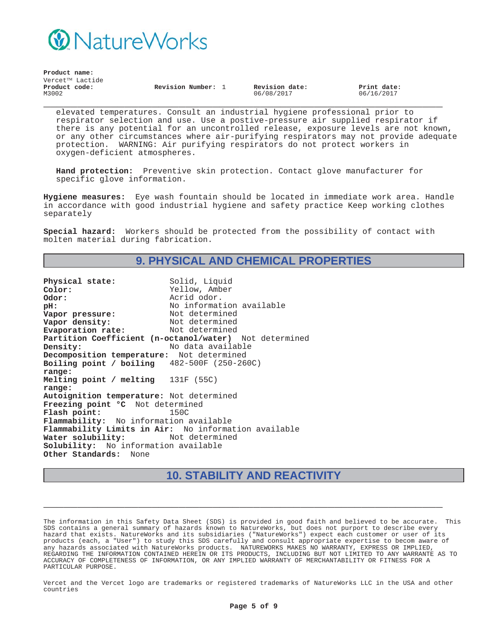

| Product name:          |                              |                    |                              |                           |  |
|------------------------|------------------------------|--------------------|------------------------------|---------------------------|--|
|                        | Vercet <sup>TM</sup> Lactide |                    |                              |                           |  |
| Product code:<br>M3002 |                              | Revision Number: 1 | Revision date:<br>06/08/2017 | Print date:<br>06/16/2017 |  |

elevated temperatures. Consult an industrial hygiene professional prior to respirator selection and use. Use a postive-pressure air supplied respirator if there is any potential for an uncontrolled release, exposure levels are not known, or any other circumstances where air-purifying respirators may not provide adequate protection. WARNING: Air purifying respirators do not protect workers in oxygen-deficient atmospheres.

**Hand protection:** Preventive skin protection. Contact glove manufacturer for specific glove information.

**Hygiene measures:** Eye wash fountain should be located in immediate work area. Handle in accordance with good industrial hygiene and safety practice Keep working clothes separately

**Special hazard:** Workers should be protected from the possibility of contact with molten material during fabrication.

# **9. PHYSICAL AND CHEMICAL PROPERTIES**

Physical state: Solid, Liquid **Color:** Yellow, Amber **Odor:** Acrid odor. **pH:**<br> **Vapor pressure:** Not determined<br>
Not determined **Vapor pressure:** Not determined<br> **Vapor density:** Not determined **Vapor density:** Not determined<br> **Evaporation rate:** Not determined **Evaporation rate: Partition Coefficient (n-octanol/water)** Not determined **Density:** No data available **Decomposition temperature:** Not determined **Boiling point / boiling range:** 482-500F (250-260C) **Melting point / melting range:** 131F (55C) **Autoignition temperature:** Not determined **Freezing point °C** Not determined **Flash point:** 150C **Flammability:** No information available **Flammability Limits in Air:** No information available Water solubility: **Solubility:** No information available **Other Standards:** None

## **10. STABILITY AND REACTIVITY**

**\_\_\_\_\_\_\_\_\_\_\_\_\_\_\_\_\_\_\_\_\_\_\_\_\_\_\_\_\_\_\_\_\_\_\_\_\_\_\_\_\_\_\_\_\_\_\_\_\_\_\_\_\_\_\_\_\_\_\_**

The information in this Safety Data Sheet (SDS) is provided in good faith and believed to be accurate. This SDS contains a general summary of hazards known to NatureWorks, but does not purport to describe every hazard that exists. NatureWorks and its subsidiaries ("NatureWorks") expect each customer or user of its products (each, a "User") to study this SDS carefully and consult appropriate expertise to becom aware of any hazards associated with NatureWorks products. NATUREWORKS MAKES NO WARRANTY, EXPRESS OR IMPLIED, REGARDING THE INFORMATION CONTAINED HEREIN OR ITS PRODUCTS, INCLUDING BUT NOT LIMITED TO ANY WARRANTE AS TO ACCURACY OF COMPLETENESS OF INFORMATION, OR ANY IMPLIED WARRANTY OF MERCHANTABILITY OR FITNESS FOR A PARTICULAR PURPOSE.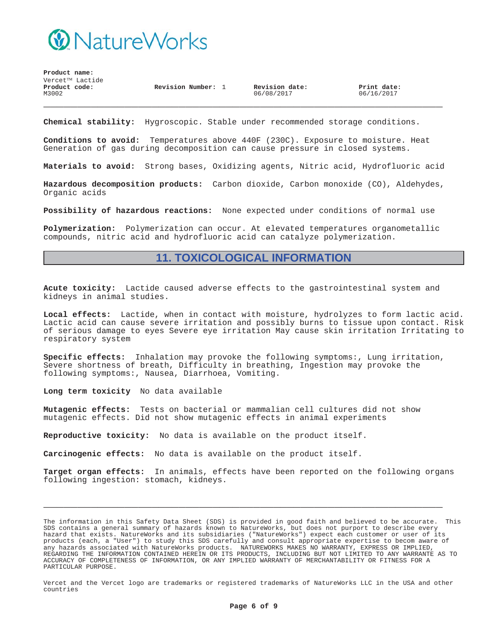

| Product name: |                 |                    |                |             |
|---------------|-----------------|--------------------|----------------|-------------|
|               | Vercet™ Lactide |                    |                |             |
| Product code: |                 | Revision Number: 1 | Revision date: | Print date: |
| M3002         |                 |                    | 06/08/2017     | 06/16/2017  |
|               |                 |                    |                |             |
|               |                 |                    |                |             |

**Chemical stability:** Hygroscopic. Stable under recommended storage conditions.

**Conditions to avoid:** Temperatures above 440F (230C). Exposure to moisture. Heat Generation of gas during decomposition can cause pressure in closed systems.

**Materials to avoid:** Strong bases, Oxidizing agents, Nitric acid, Hydrofluoric acid

**Hazardous decomposition products:** Carbon dioxide, Carbon monoxide (CO), Aldehydes, Organic acids

**Possibility of hazardous reactions:** None expected under conditions of normal use

**Polymerization:** Polymerization can occur. At elevated temperatures organometallic compounds, nitric acid and hydrofluoric acid can catalyze polymerization.

### **11. TOXICOLOGICAL INFORMATION**

**Acute toxicity:** Lactide caused adverse effects to the gastrointestinal system and kidneys in animal studies.

**Local effects:** Lactide, when in contact with moisture, hydrolyzes to form lactic acid. Lactic acid can cause severe irritation and possibly burns to tissue upon contact. Risk of serious damage to eyes Severe eye irritation May cause skin irritation Irritating to respiratory system

**Specific effects:** Inhalation may provoke the following symptoms:, Lung irritation, Severe shortness of breath, Difficulty in breathing, Ingestion may provoke the following symptoms:, Nausea, Diarrhoea, Vomiting.

**Long term toxicity** No data available

**Mutagenic effects:** Tests on bacterial or mammalian cell cultures did not show mutagenic effects. Did not show mutagenic effects in animal experiments

**Reproductive toxicity:** No data is available on the product itself.

**Carcinogenic effects:** No data is available on the product itself.

**Target organ effects:** In animals, effects have been reported on the following organs following ingestion: stomach, kidneys.

**\_\_\_\_\_\_\_\_\_\_\_\_\_\_\_\_\_\_\_\_\_\_\_\_\_\_\_\_\_\_\_\_\_\_\_\_\_\_\_\_\_\_\_\_\_\_\_\_\_\_\_\_\_\_\_\_\_\_\_**

The information in this Safety Data Sheet (SDS) is provided in good faith and believed to be accurate. This SDS contains a general summary of hazards known to NatureWorks, but does not purport to describe every hazard that exists. NatureWorks and its subsidiaries ("NatureWorks") expect each customer or user of its products (each, a "User") to study this SDS carefully and consult appropriate expertise to becom aware of any hazards associated with NatureWorks products. NATUREWORKS MAKES NO WARRANTY, EXPRESS OR IMPLIED, REGARDING THE INFORMATION CONTAINED HEREIN OR ITS PRODUCTS, INCLUDING BUT NOT LIMITED TO ANY WARRANTE AS TO ACCURACY OF COMPLETENESS OF INFORMATION, OR ANY IMPLIED WARRANTY OF MERCHANTABILITY OR FITNESS FOR A PARTICULAR PURPOSE.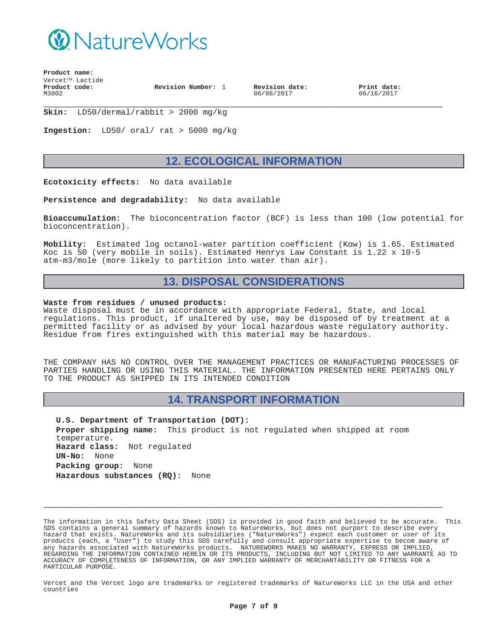

**Product name:**  $Vercet^{TM}$  Lactide **Product code:** M3002

**Revision Number:** 1 **Revision date:**

06/08/2017

**Print date:** 06/16/2017

**\_\_\_\_\_\_\_\_\_\_\_\_\_\_\_\_\_\_\_\_\_\_\_\_\_\_\_\_\_\_\_\_\_\_\_\_\_\_\_\_\_\_\_\_\_\_\_\_\_\_\_\_\_\_\_\_\_\_\_ Skin:** LD50/dermal/rabbit > 2000 mg/kg

**Ingestion:** LD50/ oral/ rat > 5000 mg/kg

## **12. ECOLOGICAL INFORMATION**

**Ecotoxicity effects:** No data available

**Persistence and degradability:** No data available

**Bioaccumulation:** The bioconcentration factor (BCF) is less than 100 (low potential for bioconcentration).

**Mobility:** Estimated log octanol-water partition coefficient (Kow) is 1.65. Estimated Koc is 50 (very mobile in soils). Estimated Henrys Law Constant is 1.22 x 10-5 atm-m3/mole (more likely to partition into water than air).

### **13. DISPOSAL CONSIDERATIONS**

#### **Waste from residues / unused products:**

Waste disposal must be in accordance with appropriate Federal, State, and local regulations. This product, if unaltered by use, may be disposed of by treatment at a permitted facility or as advised by your local hazardous waste regulatory authority. Residue from fires extinguished with this material may be hazardous.

THE COMPANY HAS NO CONTROL OVER THE MANAGEMENT PRACTICES OR MANUFACTURING PROCESSES OF PARTIES HANDLING OR USING THIS MATERIAL. THE INFORMATION PRESENTED HERE PERTAINS ONLY TO THE PRODUCT AS SHIPPED IN ITS INTENDED CONDITION

### **14. TRANSPORT INFORMATION**

**U.S. Department of Transportation (DOT): Proper shipping name:** This product is not regulated when shipped at room temperature. **Hazard class:** Not regulated **UN-No:** None **Packing group:** None **Hazardous substances (RQ):** None

The information in this Safety Data Sheet (SDS) is provided in good faith and believed to be accurate. This SDS contains a general summary of hazards known to NatureWorks, but does not purport to describe every hazard that exists. NatureWorks and its subsidiaries ("NatureWorks") expect each customer or user of its products (each, a "User") to study this SDS carefully and consult appropriate expertise to becom aware of any hazards associated with NatureWorks products. NATUREWORKS MAKES NO WARRANTY, EXPRESS OR IMPLIED, REGARDING THE INFORMATION CONTAINED HEREIN OR ITS PRODUCTS, INCLUDING BUT NOT LIMITED TO ANY WARRANTE AS TO ACCURACY OF COMPLETENESS OF INFORMATION, OR ANY IMPLIED WARRANTY OF MERCHANTABILITY OR FITNESS FOR A PARTICULAR PURPOSE.

**\_\_\_\_\_\_\_\_\_\_\_\_\_\_\_\_\_\_\_\_\_\_\_\_\_\_\_\_\_\_\_\_\_\_\_\_\_\_\_\_\_\_\_\_\_\_\_\_\_\_\_\_\_\_\_\_\_\_\_**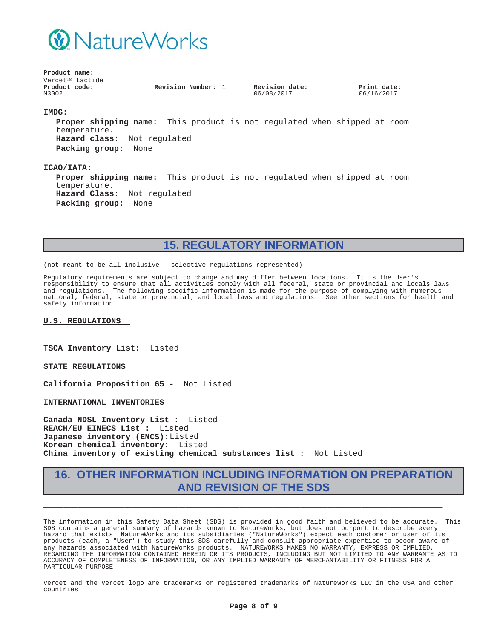

**Product name:**  $Vercet^{TM}$  Lactide **Product code:** M3002

**Revision Number:** 1 **Revision date:**

06/08/2017

**Print date:** 06/16/2017

### **\_\_\_\_\_\_\_\_\_\_\_\_\_\_\_\_\_\_\_\_\_\_\_\_\_\_\_\_\_\_\_\_\_\_\_\_\_\_\_\_\_\_\_\_\_\_\_\_\_\_\_\_\_\_\_\_\_\_\_ IMDG:**

**Proper shipping name:** This product is not regulated when shipped at room temperature. **Hazard class:** Not regulated **Packing group:** None

#### **ICAO/IATA:**

**Proper shipping name:** This product is not regulated when shipped at room temperature. **Hazard Class:** Not regulated **Packing group:** None

# **15. REGULATORY INFORMATION**

(not meant to be all inclusive - selective regulations represented)

Regulatory requirements are subject to change and may differ between locations. It is the User's responsibility to ensure that all activities comply with all federal, state or provincial and locals laws and regulations. The following specific information is made for the purpose of complying with numerous national, federal, state or provincial, and local laws and regulations. See other sections for health and safety information.

**U.S. REGULATIONS**

**TSCA Inventory List:** Listed

**STATE REGULATIONS**

**California Proposition 65 -** Not Listed

**INTERNATIONAL INVENTORIES**

**Canada NDSL Inventory List :** Listed **REACH/EU EINECS List :** Listed **Japanese inventory (ENCS):**Listed **Korean chemical inventory:** Listed **China inventory of existing chemical substances list :** Not Listed

## **16. OTHER INFORMATION INCLUDING INFORMATION ON PREPARATION AND REVISION OF THE SDS**

**\_\_\_\_\_\_\_\_\_\_\_\_\_\_\_\_\_\_\_\_\_\_\_\_\_\_\_\_\_\_\_\_\_\_\_\_\_\_\_\_\_\_\_\_\_\_\_\_\_\_\_\_\_\_\_\_\_\_\_**

The information in this Safety Data Sheet (SDS) is provided in good faith and believed to be accurate. This SDS contains a general summary of hazards known to NatureWorks, but does not purport to describe every hazard that exists. NatureWorks and its subsidiaries ("NatureWorks") expect each customer or user of its products (each, a "User") to study this SDS carefully and consult appropriate expertise to becom aware of any hazards associated with NatureWorks products. NATUREWORKS MAKES NO WARRANTY, EXPRESS OR IMPLIED, REGARDING THE INFORMATION CONTAINED HEREIN OR ITS PRODUCTS, INCLUDING BUT NOT LIMITED TO ANY WARRANTE AS TO ACCURACY OF COMPLETENESS OF INFORMATION, OR ANY IMPLIED WARRANTY OF MERCHANTABILITY OR FITNESS FOR A PARTICULAR PURPOSE.